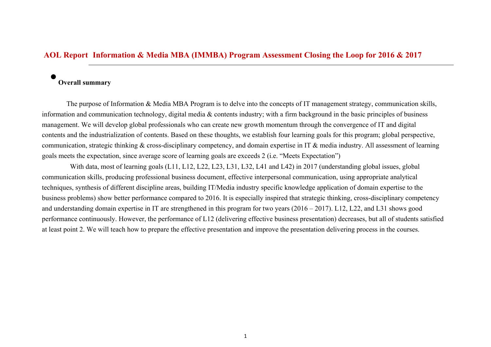## **AOL Report Information & Media MBA (IMMBA) Program Assessment Closing the Loop for 2016 & 2017**

## **Overall summary**

 $\bullet$ 

The purpose of Information & Media MBA Program is to delve into the concepts of IT management strategy, communication skills, information and communication technology, digital media & contents industry; with a firm background in the basic principles of business management. We will develop global professionals who can create new growth momentum through the convergence of IT and digital contents and the industrialization of contents. Based on these thoughts, we establish four learning goals for this program; global perspective, communication, strategic thinking & cross-disciplinary competency, and domain expertise in IT & media industry. All assessment of learning goals meets the expectation, since average score of learning goals are exceeds 2 (i.e. "Meets Expectation")

With data, most of learning goals (L11, L12, L22, L23, L31, L32, L41 and L42) in 2017 (understanding global issues, global communication skills, producing professional business document, effective interpersonal communication, using appropriate analytical techniques, synthesis of different discipline areas, building IT/Media industry specific knowledge application of domain expertise to the business problems) show better performance compared to 2016. It is especially inspired that strategic thinking, cross-disciplinary competency and understanding domain expertise in IT are strengthened in this program for two years (2016 – 2017). L12, L22, and L31 shows good performance continuously. However, the performance of L12 (delivering effective business presentation) decreases, but all of students satisfied at least point 2. We will teach how to prepare the effective presentation and improve the presentation delivering process in the courses.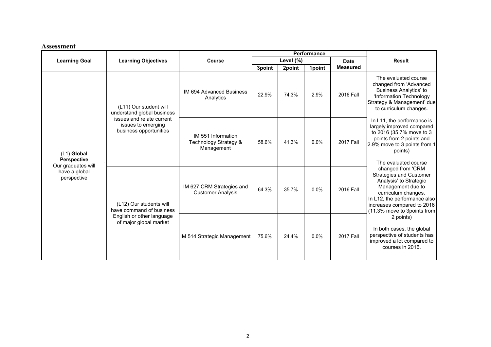## **Assessment**

|                                                                                         |                                                                                                                                   |                                                           | Performance |        |         |                 |                                                                                                                                                                                                                                                                                                                                                                                                                                                                                                                                         |
|-----------------------------------------------------------------------------------------|-----------------------------------------------------------------------------------------------------------------------------------|-----------------------------------------------------------|-------------|--------|---------|-----------------|-----------------------------------------------------------------------------------------------------------------------------------------------------------------------------------------------------------------------------------------------------------------------------------------------------------------------------------------------------------------------------------------------------------------------------------------------------------------------------------------------------------------------------------------|
| <b>Learning Goal</b>                                                                    | <b>Learning Objectives</b>                                                                                                        | Course                                                    | Level (%)   |        |         | <b>Date</b>     | <b>Result</b>                                                                                                                                                                                                                                                                                                                                                                                                                                                                                                                           |
|                                                                                         |                                                                                                                                   |                                                           | 3point      | 2point | 1point  | <b>Measured</b> |                                                                                                                                                                                                                                                                                                                                                                                                                                                                                                                                         |
| (L1) Global<br><b>Perspective</b><br>Our graduates will<br>have a global<br>perspective | (L11) Our student will<br>understand global business<br>issues and relate current<br>issues to emerging<br>business opportunities | IM 694 Advanced Business<br>Analytics                     | 22.9%       | 74.3%  | 2.9%    | 2016 Fall       | The evaluated course<br>changed from 'Advanced<br>Business Analytics' to<br>'Information Technology<br>Strategy & Management' due<br>to curriculum changes.                                                                                                                                                                                                                                                                                                                                                                             |
|                                                                                         |                                                                                                                                   | IM 551 Information<br>Technology Strategy &<br>Management | 58.6%       | 41.3%  | $0.0\%$ | 2017 Fall       | In L11, the performance is<br>largely improved compared<br>to 2016 (35.7% move to 3<br>points from 2 points and<br>2.9% move to 3 points from 1<br>points)<br>The evaluated course<br>changed from 'CRM<br><b>Strategies and Customer</b><br>Analysis' to Strategic<br>Management due to<br>curriculum changes.<br>In L12, the performance also<br>increases compared to 2016<br>(11.3% move to 3points from<br>2 points)<br>In both cases, the global<br>perspective of students has<br>improved a lot compared to<br>courses in 2016. |
|                                                                                         | (L12) Our students will<br>have command of business<br>English or other language<br>of major global market                        | IM 627 CRM Strategies and<br><b>Customer Analysis</b>     | 64.3%       | 35.7%  | $0.0\%$ | 2016 Fall       |                                                                                                                                                                                                                                                                                                                                                                                                                                                                                                                                         |
|                                                                                         |                                                                                                                                   | IM 514 Strategic Management                               | 75.6%       | 24.4%  | $0.0\%$ | 2017 Fall       |                                                                                                                                                                                                                                                                                                                                                                                                                                                                                                                                         |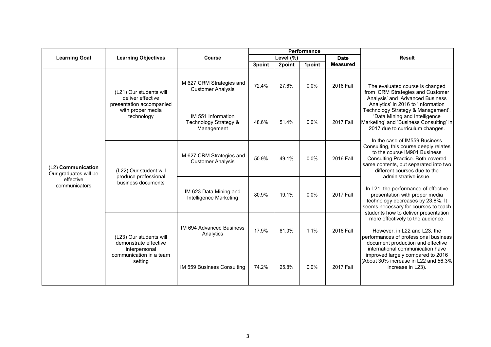|                                                                           | <b>Learning Objectives</b>                                                                                  | <b>Course</b>                                             | Performance |        |         |                  |                                                                                                                                                                                                                                                                                                                                                                                                                                                                                                                                                                                                                                                                                                                                                                                                                                                                                                                                             |
|---------------------------------------------------------------------------|-------------------------------------------------------------------------------------------------------------|-----------------------------------------------------------|-------------|--------|---------|------------------|---------------------------------------------------------------------------------------------------------------------------------------------------------------------------------------------------------------------------------------------------------------------------------------------------------------------------------------------------------------------------------------------------------------------------------------------------------------------------------------------------------------------------------------------------------------------------------------------------------------------------------------------------------------------------------------------------------------------------------------------------------------------------------------------------------------------------------------------------------------------------------------------------------------------------------------------|
| <b>Learning Goal</b>                                                      |                                                                                                             |                                                           | Level (%)   |        |         | <b>Date</b>      | <b>Result</b>                                                                                                                                                                                                                                                                                                                                                                                                                                                                                                                                                                                                                                                                                                                                                                                                                                                                                                                               |
|                                                                           |                                                                                                             |                                                           | 3point      | 2point | 1point  | <b>Measured</b>  |                                                                                                                                                                                                                                                                                                                                                                                                                                                                                                                                                                                                                                                                                                                                                                                                                                                                                                                                             |
| (L2) Communication<br>Our graduates will be<br>effective<br>communicators | (L21) Our students will<br>deliver effective<br>presentation accompanied<br>with proper media<br>technology | IM 627 CRM Strategies and<br><b>Customer Analysis</b>     | 72.4%       | 27.6%  | $0.0\%$ | 2016 Fall        | The evaluated course is changed<br>from 'CRM Strategies and Customer<br>Analysis' and 'Advanced Business<br>Analytics' in 2016 to 'Information<br>Technology Strategy & Management',<br>'Data Mining and Intelligence<br>Marketing' and 'Business Consulting' in<br>2017 due to curriculum changes.<br>In the case of IM559 Business<br>Consulting, this course deeply relates<br>to the course IM901 Business<br>Consulting Practice. Both covered<br>same contents, but separated into two<br>different courses due to the<br>administrative issue.<br>In L21, the performance of effective<br>presentation with proper media<br>technology decreases by 23.8%. It<br>seems necessary for courses to teach<br>students how to deliver presentation<br>more effectively to the audience.<br>However, in L22 and L23, the<br>performances of professional business<br>document production and effective<br>international communication have |
|                                                                           |                                                                                                             | IM 551 Information<br>Technology Strategy &<br>Management | 48.6%       | 51.4%  | $0.0\%$ | <b>2017 Fall</b> |                                                                                                                                                                                                                                                                                                                                                                                                                                                                                                                                                                                                                                                                                                                                                                                                                                                                                                                                             |
|                                                                           | (L22) Our student will<br>produce professional<br>business documents                                        | IM 627 CRM Strategies and<br><b>Customer Analysis</b>     | 50.9%       | 49.1%  | 0.0%    | 2016 Fall        |                                                                                                                                                                                                                                                                                                                                                                                                                                                                                                                                                                                                                                                                                                                                                                                                                                                                                                                                             |
|                                                                           |                                                                                                             | IM 623 Data Mining and<br>Intelligence Marketing          | 80.9%       | 19.1%  | 0.0%    | <b>2017 Fall</b> |                                                                                                                                                                                                                                                                                                                                                                                                                                                                                                                                                                                                                                                                                                                                                                                                                                                                                                                                             |
|                                                                           | (L23) Our students will<br>demonstrate effective<br>interpersonal<br>communication in a team<br>setting     | IM 694 Advanced Business<br>Analytics                     | 17.9%       | 81.0%  | 1.1%    | 2016 Fall        |                                                                                                                                                                                                                                                                                                                                                                                                                                                                                                                                                                                                                                                                                                                                                                                                                                                                                                                                             |
|                                                                           |                                                                                                             | IM 559 Business Consulting                                | 74.2%       | 25.8%  | 0.0%    | <b>2017 Fall</b> | improved largely compared to 2016<br>(About 30% increase in L22 and 56.3%)<br>increase in L23).                                                                                                                                                                                                                                                                                                                                                                                                                                                                                                                                                                                                                                                                                                                                                                                                                                             |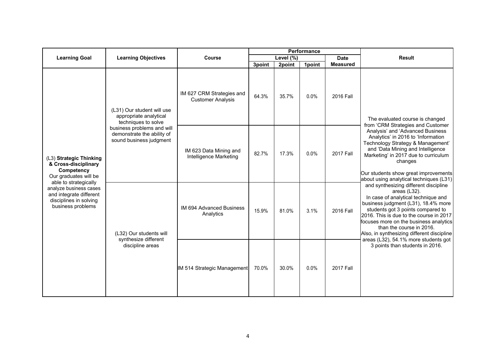|                                                                                                                                                                                                                     | <b>Learning Objectives</b>                                                                                                                                         | Course                                                | Performance     |                 |                |                              |                                                                                                                                                                                                                                                                                                                                                                                                                                                                                                                                                                                                                                                                                                                                                                                         |
|---------------------------------------------------------------------------------------------------------------------------------------------------------------------------------------------------------------------|--------------------------------------------------------------------------------------------------------------------------------------------------------------------|-------------------------------------------------------|-----------------|-----------------|----------------|------------------------------|-----------------------------------------------------------------------------------------------------------------------------------------------------------------------------------------------------------------------------------------------------------------------------------------------------------------------------------------------------------------------------------------------------------------------------------------------------------------------------------------------------------------------------------------------------------------------------------------------------------------------------------------------------------------------------------------------------------------------------------------------------------------------------------------|
| <b>Learning Goal</b>                                                                                                                                                                                                |                                                                                                                                                                    |                                                       | Level (%)       |                 | <b>Date</b>    | <b>Result</b>                |                                                                                                                                                                                                                                                                                                                                                                                                                                                                                                                                                                                                                                                                                                                                                                                         |
| (L3) Strategic Thinking<br>& Cross-disciplinary<br>Competency<br>Our graduates will be<br>able to strategically<br>analyze business cases<br>and integrate different<br>disciplines in solving<br>business problems | (L31) Our student will use<br>appropriate analytical<br>techniques to solve<br>business problems and will<br>demonstrate the ability of<br>sound business judgment | IM 627 CRM Strategies and<br><b>Customer Analysis</b> | 3point<br>64.3% | 2point<br>35.7% | 1point<br>0.0% | <b>Measured</b><br>2016 Fall | The evaluated course is changed<br>from 'CRM Strategies and Customer<br>Analysis' and 'Advanced Business<br>Analytics' in 2016 to 'Information<br>Technology Strategy & Management'<br>and 'Data Mining and Intelligence<br>Marketing' in 2017 due to curriculum<br>changes<br>Our students show great improvements<br>about using analytical techniques (L31)<br>and synthesizing different discipline<br>areas $(L32)$ .<br>In case of analytical technique and<br>business judgment (L31), 18.4% more<br>students got 3 points compared to<br>2016. This is due to the course in 2017<br>focuses more on the business analytics<br>than the course in 2016.<br>Also, in synthesizing different discipline<br>areas (L32), 54.1% more students got<br>3 points than students in 2016. |
|                                                                                                                                                                                                                     |                                                                                                                                                                    | IM 623 Data Mining and<br>Intelligence Marketing      | 82.7%           | 17.3%           | 0.0%           | <b>2017 Fall</b>             |                                                                                                                                                                                                                                                                                                                                                                                                                                                                                                                                                                                                                                                                                                                                                                                         |
|                                                                                                                                                                                                                     | (L32) Our students will<br>synthesize different<br>discipline areas                                                                                                | <b>IM 694 Advanced Business</b><br>Analytics          | 15.9%           | 81.0%           | 3.1%           | 2016 Fall                    |                                                                                                                                                                                                                                                                                                                                                                                                                                                                                                                                                                                                                                                                                                                                                                                         |
|                                                                                                                                                                                                                     |                                                                                                                                                                    | IM 514 Strategic Management                           | 70.0%           | 30.0%           | 0.0%           | <b>2017 Fall</b>             |                                                                                                                                                                                                                                                                                                                                                                                                                                                                                                                                                                                                                                                                                                                                                                                         |